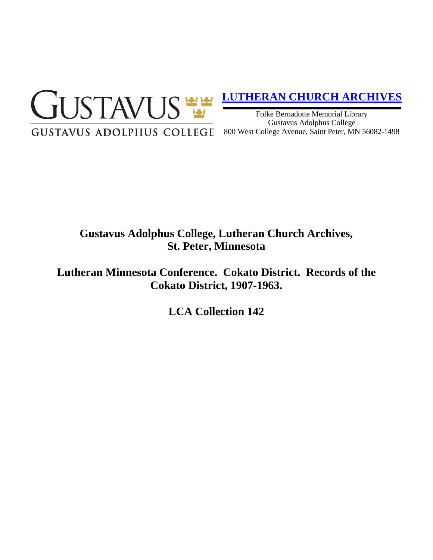

## **[LUTHERAN CHURCH ARCHIVES](http://gustavus.edu/academics/library/archives/)**

Folke Bernadotte Memorial Library Gustavus Adolphus College 800 West College Avenue, Saint Peter, MN 56082-1498

# **Gustavus Adolphus College, Lutheran Church Archives, St. Peter, Minnesota**

**Lutheran Minnesota Conference. Cokato District. Records of the Cokato District, 1907-1963.**

**LCA Collection 142**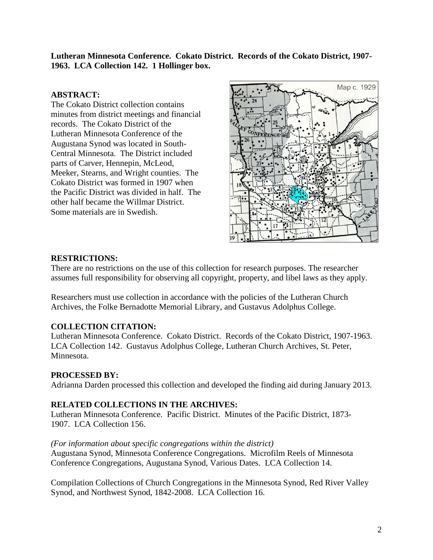**Lutheran Minnesota Conference. Cokato District. Records of the Cokato District, 1907- 1963. LCA Collection 142. 1 Hollinger box.**

### **ABSTRACT:**

The Cokato District collection contains minutes from district meetings and financial records. The Cokato District of the Lutheran Minnesota Conference of the Augustana Synod was located in South-Central Minnesota. The District included parts of Carver, Hennepin, McLeod, Meeker, Stearns, and Wright counties. The Cokato District was formed in 1907 when the Pacific District was divided in half. The other half became the Willmar District. Some materials are in Swedish.



#### **RESTRICTIONS:**

There are no restrictions on the use of this collection for research purposes. The researcher assumes full responsibility for observing all copyright, property, and libel laws as they apply.

Researchers must use collection in accordance with the policies of the Lutheran Church Archives, the Folke Bernadotte Memorial Library, and Gustavus Adolphus College.

### **COLLECTION CITATION:**

Lutheran Minnesota Conference. Cokato District. Records of the Cokato District, 1907-1963. LCA Collection 142. Gustavus Adolphus College, Lutheran Church Archives, St. Peter, Minnesota.

### **PROCESSED BY:**

Adrianna Darden processed this collection and developed the finding aid during January 2013.

### **RELATED COLLECTIONS IN THE ARCHIVES:**

Lutheran Minnesota Conference. Pacific District. Minutes of the Pacific District, 1873- 1907. LCA Collection 156.

### *(For information about specific congregations within the district)*

Augustana Synod, Minnesota Conference Congregations. Microfilm Reels of Minnesota Conference Congregations, Augustana Synod, Various Dates. LCA Collection 14.

Compilation Collections of Church Congregations in the Minnesota Synod, Red River Valley Synod, and Northwest Synod, 1842-2008. LCA Collection 16.